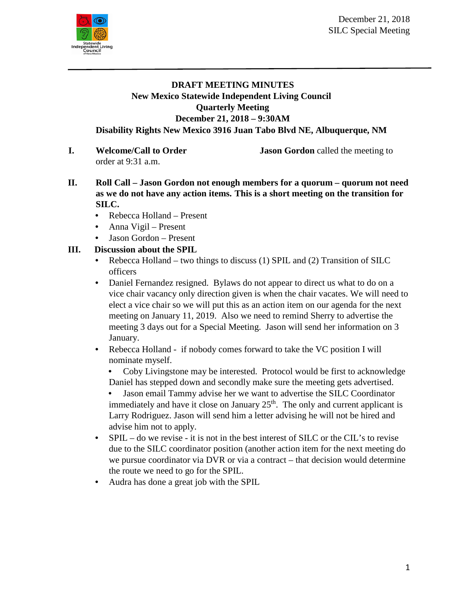

## **DRAFT MEETING MINUTES New Mexico Statewide Independent Living Council Quarterly Meeting December 21, 2018 – 9:30AM Disability Rights New Mexico 3916 Juan Tabo Blvd NE, Albuquerque, NM**

order at 9:31 a.m.

**I. Welcome/Call to Order Jason Gordon** called the meeting to

- 
- **II. Roll Call – Jason Gordon not enough members for a quorum – quorum not need as we do not have any action items. This is a short meeting on the transition for SILC.** 
	- Rebecca Holland Present
	- Anna Vigil Present
	- Jason Gordon Present

## **III. Discussion about the SPIL**

- Rebecca Holland two things to discuss (1) SPIL and (2) Transition of SILC officers
- Daniel Fernandez resigned. Bylaws do not appear to direct us what to do on a vice chair vacancy only direction given is when the chair vacates. We will need to elect a vice chair so we will put this as an action item on our agenda for the next meeting on January 11, 2019. Also we need to remind Sherry to advertise the meeting 3 days out for a Special Meeting. Jason will send her information on 3 January.
- Rebecca Holland if nobody comes forward to take the VC position I will nominate myself.
	- Coby Livingstone may be interested. Protocol would be first to acknowledge Daniel has stepped down and secondly make sure the meeting gets advertised.
	- Jason email Tammy advise her we want to advertise the SILC Coordinator immediately and have it close on January  $25<sup>th</sup>$ . The only and current applicant is Larry Rodriguez. Jason will send him a letter advising he will not be hired and advise him not to apply.
- SPIL do we revise it is not in the best interest of SILC or the CIL's to revise due to the SILC coordinator position (another action item for the next meeting do we pursue coordinator via DVR or via a contract – that decision would determine the route we need to go for the SPIL.
- Audra has done a great job with the SPIL